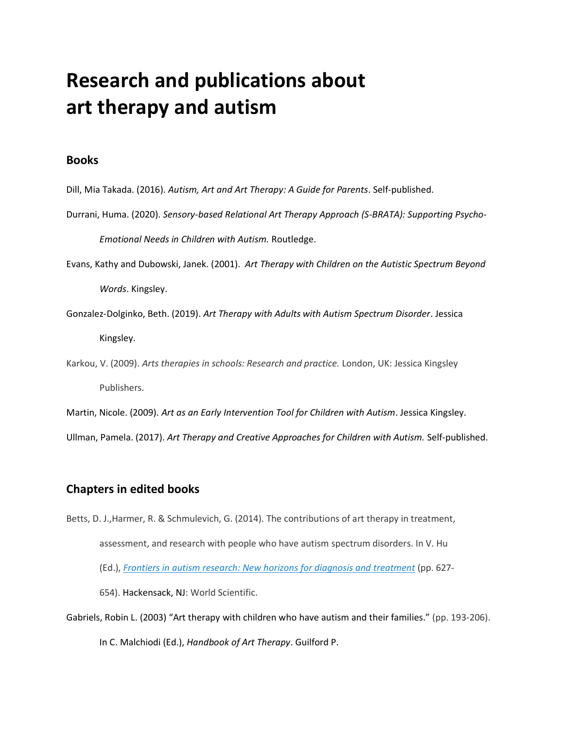# **Research and publications about art therapy and autism**

### **Books**

- Dill, Mia Takada. (2016). *Autism, Art and Art Therapy: A Guide for Parents*. Self-published.
- Durrani, Huma. (2020). *Sensory-based Relational Art Therapy Approach (S-BRATA): Supporting Psycho-Emotional Needs in Children with Autism.* Routledge.
- Evans, Kathy and Dubowski, Janek. (2001). *Art Therapy with Children on the Autistic Spectrum Beyond Words*. Kingsley.
- Gonzalez-Dolginko, Beth. (2019). *Art Therapy with Adults with Autism Spectrum Disorder*. Jessica Kingsley.
- Karkou, V. (2009). *Arts therapies in schools: Research and practice.* London, UK: Jessica Kingsley Publishers.
- Martin, Nicole. (2009). *Art as an Early Intervention Tool for Children with Autism*. Jessica Kingsley.

Ullman, Pamela. (2017). *Art Therapy and Creative Approaches for Children with Autism.* Self-published.

### **Chapters in edited books**

Betts, D. J.,Harmer, R. & Schmulevich, G. (2014). The contributions of art therapy in treatment, assessment, and research with people who have autism spectrum disorders. In V. Hu (Ed.), *Frontiers in autism research: New horizons for diagnosis and [treatment](http://www.worldscientific.com/worldscibooks/10.1142/9146)* (pp. 627-

654). Hackensack, NJ: World Scientific.

Gabriels, Robin L. (2003) "Art therapy with children who have autism and their families." (pp. 193-206).

In C. Malchiodi (Ed.), *Handbook of Art Therapy*. Guilford P.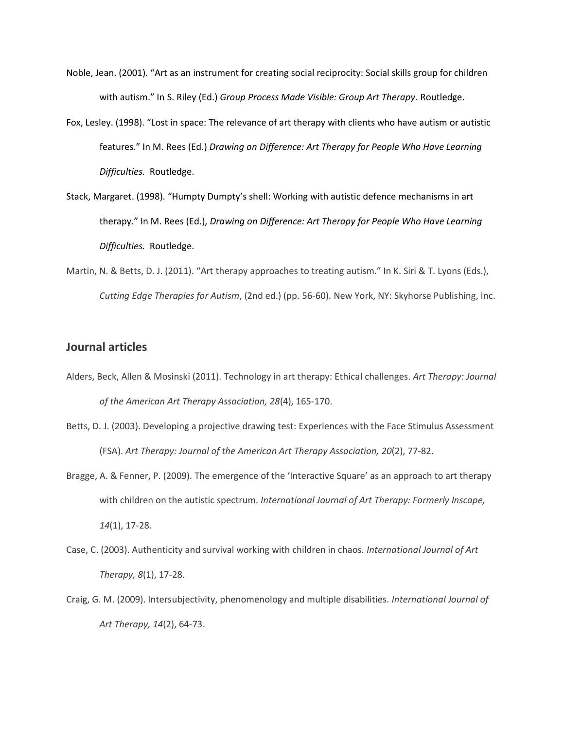- Noble, Jean. (2001). "Art as an instrument for creating social reciprocity: Social skills group for children with autism." In S. Riley (Ed.) *Group Process Made Visible: Group Art Therapy*. Routledge.
- Fox, Lesley. (1998). "Lost in space: The relevance of art therapy with clients who have autism or autistic features." In M. Rees (Ed.) *Drawing on Difference: Art Therapy for People Who Have Learning Difficulties.* Routledge.
- Stack, Margaret. (1998). "Humpty Dumpty's shell: Working with autistic defence mechanisms in art therapy." In M. Rees (Ed.), *Drawing on Difference: Art Therapy for People Who Have Learning Difficulties.* Routledge.
- Martin, N. & Betts, D. J. (2011). "Art therapy approaches to treating autism." In K. Siri & T. Lyons (Eds.), *Cutting Edge Therapies for Autism*, (2nd ed.) (pp. 56-60). New York, NY: Skyhorse Publishing, Inc.

#### **Journal articles**

- Alders, Beck, Allen & Mosinski (2011). Technology in art therapy: Ethical challenges. *Art Therapy: Journal of the American Art Therapy Association, 28*(4), 165-170.
- Betts, D. J. (2003). Developing a projective drawing test: Experiences with the Face Stimulus Assessment (FSA). *Art Therapy: Journal of the American Art Therapy Association, 20*(2), 77-82.
- Bragge, A. & Fenner, P. (2009). The emergence of the 'Interactive Square' as an approach to art therapy with children on the autistic spectrum. *International Journal of Art Therapy: Formerly Inscape, 14*(1), 17-28.
- Case, C. (2003). Authenticity and survival working with children in chaos. *International Journal of Art Therapy, 8*(1), 17-28.
- Craig, G. M. (2009). Intersubjectivity, phenomenology and multiple disabilities. *International Journal of Art Therapy, 14*(2), 64-73.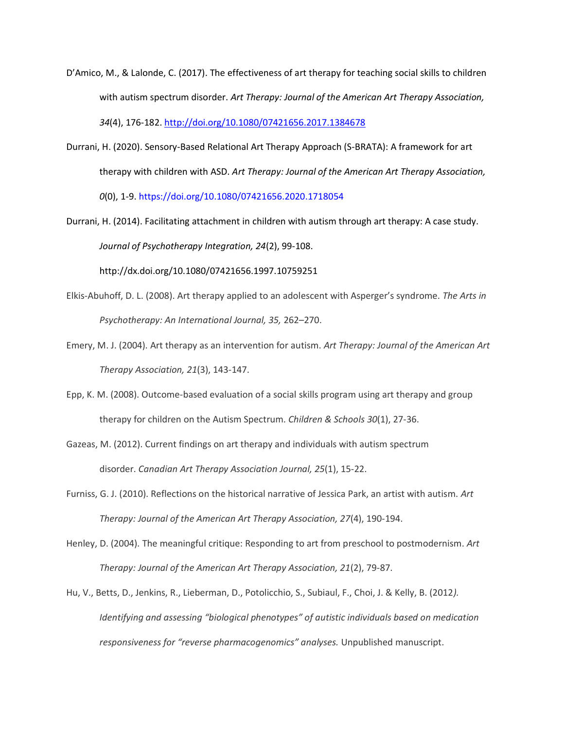- D'Amico, M., & Lalonde, C. (2017). The effectiveness of art therapy for teaching social skills to children with autism spectrum disorder. *Art Therapy: Journal of the American Art Therapy Association, 34*(4), 176-182[. http://doi.org/10.1080/07421656.2017.1384678](http://doi.org/10.1080/07421656.2017.1384678)
- Durrani, H. (2020). Sensory-Based Relational Art Therapy Approach (S-BRATA): A framework for art therapy with children with ASD. *Art Therapy: Journal of the American Art Therapy Association, 0*(0), 1-9. https://doi.org/10.1080/07421656.2020.1718054
- Durrani, H. (2014). Facilitating attachment in children with autism through art therapy: A case study. *Journal of Psychotherapy Integration, 24*(2), 99-108.

http://dx.doi.org/10.1080/07421656.1997.10759251

- Elkis-Abuhoff, D. L. (2008). Art therapy applied to an adolescent with Asperger's syndrome. *The Arts in Psychotherapy: An International Journal, 35,* 262–270.
- Emery, M. J. (2004). Art therapy as an intervention for autism. *Art Therapy: Journal of the American Art Therapy Association, 21*(3), 143-147.
- Epp, K. M. (2008). Outcome-based evaluation of a social skills program using art therapy and group therapy for children on the Autism Spectrum. *Children & Schools 30*(1), 27-36.
- Gazeas, M. (2012). Current findings on art therapy and individuals with autism spectrum disorder. *Canadian Art Therapy Association Journal, 25*(1), 15-22.
- Furniss, G. J. (2010). Reflections on the historical narrative of Jessica Park, an artist with autism. *Art Therapy: Journal of the American Art Therapy Association, 27*(4), 190-194.
- Henley, D. (2004). The meaningful critique: Responding to art from preschool to postmodernism. *Art Therapy: Journal of the American Art Therapy Association, 21*(2), 79-87.
- Hu, V., Betts, D., Jenkins, R., Lieberman, D., Potolicchio, S., Subiaul, F., Choi, J. & Kelly, B. (2012*). Identifying and assessing "biological phenotypes" of autistic individuals based on medication responsiveness for "reverse pharmacogenomics" analyses.* Unpublished manuscript.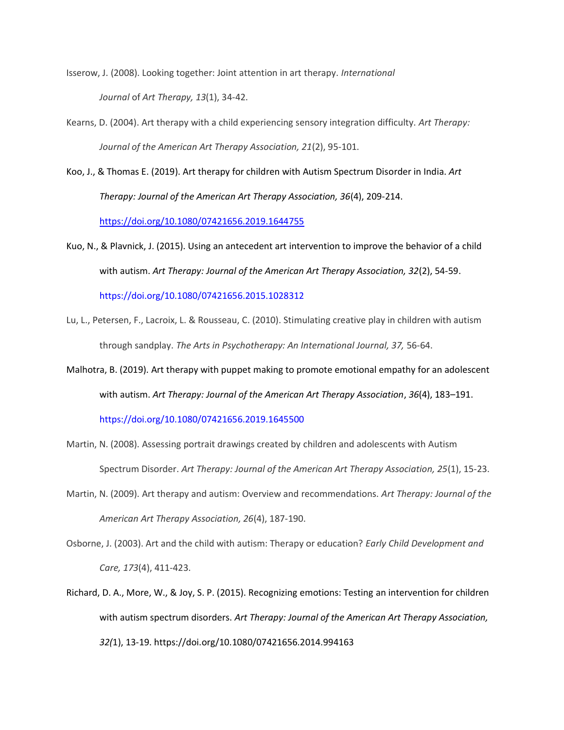Isserow, J. (2008). Looking together: Joint attention in art therapy. *International Journal* of *Art Therapy, 13*(1), 34-42.

- Kearns, D. (2004). Art therapy with a child experiencing sensory integration difficulty. *Art Therapy: Journal of the American Art Therapy Association, 21*(2), 95-101.
- Koo, J., & Thomas E. (2019). Art therapy for children with Autism Spectrum Disorder in India. *Art Therapy: Journal of the American Art Therapy Association, 36*(4), 209-214.

<https://doi.org/10.1080/07421656.2019.1644755>

Kuo, N., & Plavnick, J. (2015). Using an antecedent art intervention to improve the behavior of a child with autism. *Art Therapy: Journal of the American Art Therapy Association, 32*(2), 54-59.

https://doi.org/10.1080/07421656.2015.1028312

- Lu, L., Petersen, F., Lacroix, L. & Rousseau, C. (2010). Stimulating creative play in children with autism through sandplay. *The Arts in Psychotherapy: An International Journal, 37,* 56-64.
- Malhotra, B. (2019). Art therapy with puppet making to promote emotional empathy for an adolescent with autism. *Art Therapy: Journal of the American Art Therapy Association*, *36*(4), 183–191.

https://doi.org/10.1080/07421656.2019.1645500

- Martin, N. (2008). Assessing portrait drawings created by children and adolescents with Autism Spectrum Disorder. *Art Therapy: Journal of the American Art Therapy Association, 25*(1), 15-23.
- Martin, N. (2009). Art therapy and autism: Overview and recommendations. *Art Therapy: Journal of the American Art Therapy Association, 26*(4), 187-190.
- Osborne, J. (2003). Art and the child with autism: Therapy or education? *Early Child Development and Care, 173*(4), 411-423.
- Richard, D. A., More, W., & Joy, S. P. (2015). Recognizing emotions: Testing an intervention for children with autism spectrum disorders. *Art Therapy: Journal of the American Art Therapy Association, 32(*1), 13-19. https://doi.org/10.1080/07421656.2014.994163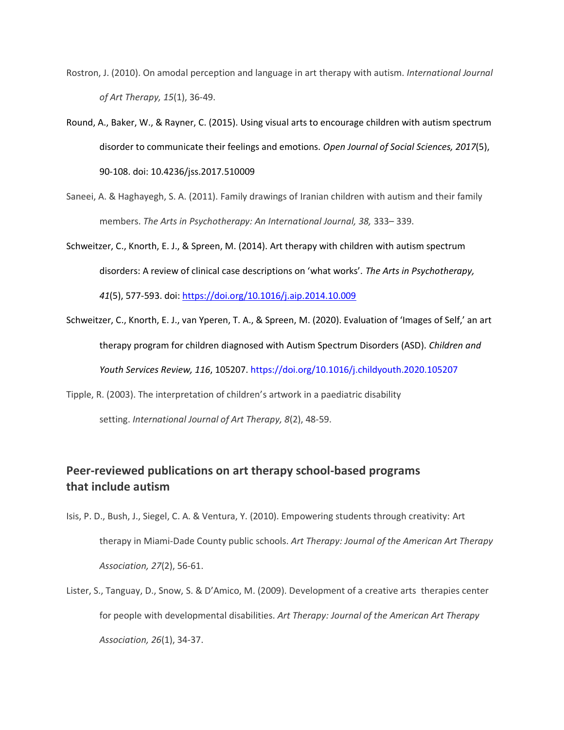- Rostron, J. (2010). On amodal perception and language in art therapy with autism. *International Journal of Art Therapy, 15*(1), 36-49.
- Round, A., Baker, W., & Rayner, C. (2015). Using visual arts to encourage children with autism spectrum disorder to communicate their feelings and emotions. *Open Journal of Social Sciences, 2017*(5), 90-108. doi: 10.4236/jss.2017.510009
- Saneei, A. & Haghayegh, S. A. (2011). Family drawings of Iranian children with autism and their family members. *The Arts in Psychotherapy: An International Journal, 38,* 333– 339.
- Schweitzer, C., Knorth, E. J., & Spreen, M. (2014). Art therapy with children with autism spectrum disorders: A review of clinical case descriptions on 'what works'. *The Arts in Psychotherapy, 41*(5), 577-593. doi:<https://doi.org/10.1016/j.aip.2014.10.009>
- Schweitzer, C., Knorth, E. J., van Yperen, T. A., & Spreen, M. (2020). Evaluation of 'Images of Self,' an art therapy program for children diagnosed with Autism Spectrum Disorders (ASD). *Children and Youth Services Review, 116*, 105207. https://doi.org/10.1016/j.childyouth.2020.105207
- Tipple, R. (2003). The interpretation of children's artwork in a paediatric disability setting. *International Journal of Art Therapy, 8*(2), 48-59.

## **Peer-reviewed publications on art therapy school-based programs that include autism**

- Isis, P. D., Bush, J., Siegel, C. A. & Ventura, Y. (2010). Empowering students through creativity: Art therapy in Miami-Dade County public schools. *Art Therapy: Journal of the American Art Therapy Association, 27*(2), 56-61.
- Lister, S., Tanguay, D., Snow, S. & D'Amico, M. (2009). Development of a creative arts therapies center for people with developmental disabilities. *Art Therapy: Journal of the American Art Therapy Association, 26*(1), 34-37.